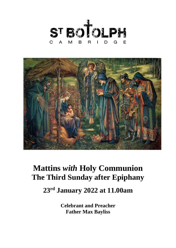



# **Mattins** *with* **Holy Communion The Third Sunday after Epiphany**

## **23rd January 2022 at 11.00am**

**Celebrant and Preacher Father Max Bayliss**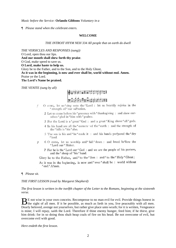*Music before the Service:* **Orlando Gibbons** *Voluntary in a*

*¶ Please stand when the celebrant enters.*

#### **WELCOME**

#### *THE INTROIT HYYM NEH 334 All people that on earth do dwell*

*THE VERSICLES AND RESPONSES (sung))*

O Lord, open thou our lips.

**And our mouth shall shew forth thy praise**.

O God, make speed to save us.

**O Lord, make haste to help us.** 

Glory be to the Father, and to the Son, and to the Holy Ghost,

**As it was in the beginning, is now and ever shall be, world without end. Amen.**  Praise ye the Lord.

**The Lord's Name be praised.** 

*THE VENITE (sung by all)*



- O CCME, let us'sing unto the'Lord : let us heartily rejoice in the  $f$ ' strength of ' our sal'vation.
	- 2 Let us come before his' presence with' thanksgiving: and shew ourselves ' glad in ' him with ' psalms.
	- 3 For the Lord is a 'great' God : and a great' King above 'all' gods.
	- 4 In his hand are all the' corners · of the' earth : and the strength of the' hills is' his' also.
	- 5 The sea is his and 'he' made it: and his hands pre'pared the' dry 'land.
- 6 O come, let us worship and'fall'down : and kneel be'fore the b 'Lord our ' Maker.
	- 7 For he is the 'Lord our 'God : and we are the people of his pasture, and the' sheep of' his' hand.

Glory be to the Father, and' to the' Son : and' to the' Holy' Ghost;

As it was in the beginning, is now and 'ever' shall be : world without ' end.' A'men.

## *¶ Please sit.*

#### *THE FIRST LESSON (read by Margaret Shepherd)*

#### *The first lesson is written in the twelfth chapter of the Letter to the Romans, beginning at the sixteenth verse.*

E not wise in your own conceits. Recompense to no man evil for evil. Provide things honest in B E not wise in your own conceits. Recompense to no man evil for evil. Provide things honest in the sight of all men. If it be possible, as much as lieth in you, live peaceably with all men. Dearly beloved, avenge not yourselves, but rather give place unto wrath; for it is written, Vengeance is mine; I will repay, saith the Lord. Therefore if thine enemy hunger, feed him; if he thirst, give him drink: for in so doing thou shalt heap coals of fire on his head. Be not overcome of evil, but overcome evil with good.

*Here endeth the first lesson.*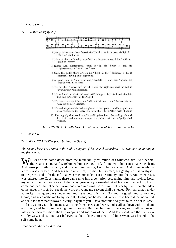*THE PSALM (sung by all)*

 $\overline{+}$  $\bullet$ BLESSED is the man that' feareth the 'Lord : he hath great de'light in ' his com'mandments. 2 His seed shall be 'mighty upon' earth : the generation of the ' faithful ' shall be ' blessed. 3 Riches and plenteousness shall be ' in his ' house : and his 'righteousness en'dureth for 'ever. 4 Unto the godly there ariseth up ' light in the ' darkness : he is ' merciful 'loving and ' righteous. 5 A good man is ' merciful and ' lendeth : and will ' guide his words with dis'cretion. 6 For he shall ' never be ' moved : and the righteous shall be had in ' ever'lasting re'membrance. 7 He will not be afraid of any'evil'tidings : for his heart standeth fast and be'lieveth' in the' Lord. 8 His heart is established and ' will not ' shrink : until he see his de-' sire up'on his' enemies. 9 He hath dispersed abroad and given ' to the ' poor : and his righteousness remaineth for ever, his horn shall'be ex'alted with' honour.

10 The ungodly shall see it and ' it shall ' grieve him : he shall gnash with his teeth and consume away, the de'sire of the un'godly shall ' perish.

*THE GRADUAL HYMN NEH 338 At the name of Jesus* (omit verse 6)

*¶ Please sit.*

*THE SECOND LESSON (read by George Owers)*

#### *The second lesson is written in the eighth chapter of the Gospel according to St Matthew, beginning at the first verse.*

HEN he was come down from the mountain, great multitudes followed him. And behold, there came a leper and worshipped him, saying, Lord, if thou wilt, thou canst make me clean. And Jesus put forth his hand, and touched him, saying, I will; be thou clean. And immediately his leprosy was cleansed. And Jesus saith unto him, See thou tell no man, but go thy way, shew thyself to the priest, and offer the gift that Moses commanded, for a testimony unto them. And when Jesus was entered into Capernaum, there came unto him a centurion beseeching him, and saying, Lord, my servant lieth at home sick of the palsy, grievously tormented. And Jesus saith unto him, I will come and heal him. The centurion answered and said, Lord, I am not worthy that thou shouldest come under my roof; but speak the word only, and my servant shall be healed. For I am a man under authority, having soldiers under me: and I say unto this man, Go, and he goeth; and to another, Come, and he cometh; and to my servant, Do this, and he doeth it. When Jesus heard it, he marvelled, and said to them that followed, Verily I say unto you, I have not found so great faith, no not in Israel. And I say unto you, That many shall come from the east and west, and shall sit down with Abraham, and Isaac, and Jacob, in the kingdom of heaven. But the children of the kingdom shall be cast out into outer darkness: there shall be weeping and gnashing of teeth. And Jesus said unto the centurion, Go thy way, and as thou hast believed, so be it done unto thee. And his servant was healed in the self-same hour. W

*Here endeth the second lesson.*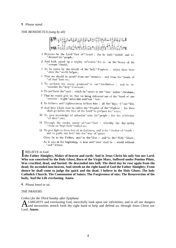*THE BENEDICTUS (sung by all)*



- 1 BLESSED be the Lord'God of'Israel : for he hath'visited and re-' deemed his ' people ;
- 2 And hath raised up a mighty sal'vation' for us : in the 'house of his ' servant ' David:
- 3 As he spake by the mouth of his'holy' Prophets : which have been ' since the ' world be'gan :
- 4 That we should be saved ' from our ' enemies : and from the ' hands of 'all that' hate us:
- 5 To perform the mercy promised ' to our ' forefathers : and to re-' member his ' holy ' Covenant :
- 6 To per'form the 'oath : which he' sware to our' fore ' father' Abraham :
- 7 That he would give us, that we being delivered out of the 'hand of our 'enemies : might ' serve him with'out ' fear;
- 8 In holiness and 'righteousness be'fore him: all the 'days of 'our'life.
- 9 And thou Child shalt be called the ' Prophet of the ' Highest : for thou shalt go before the face of the Lord' to pre'pare his' ways;
- 10 To give knowledge of salvation ' unto his ' people : for the re'mission ' of their' sins.
- 11 Through the tender mercy of 'our' God : whereby the day-spring ' from on ' high hath ' visited us ;
- 12 To give light to them that sit in darkness, and in the ' shadow of ' death : and to guide our feet' into the' way of' peace.
	- Glory be to the Father, and ' to the ' Son : and ' to the ' Holy ' Ghost;
	- As it was in the beginning, is now and 'ever' shall be : world without ' end ' A'men.

#### BELIEVE in God

**the Father Almighty, Maker of heaven and earth: And in Jesus Christ his only Son our Lord, Who was conceived by the Holy Ghost, Born of the Virgin Mary, Suffered under Pontius Pilate, Was crucified, dead, and buried: He descended into hell; The third day he rose again from the dead; He ascended into heaven, And sitteth on the right hand of God the Father Almighty; From thence he shall come to judge the quick and the dead. I believe in the Holy Ghost; The holy Catholick Church; The Communion of Saints; The Forgiveness of sins; The Resurrection of the body, And the Life everlasting. Amen.**  I

#### *¶ Please kneel or sit.*

## *THE PRAYERS*

#### *Collect for the Third Sunday after Epiphany*

LMIGHTY and everlasting God, mercifully look upon our infirmities, and in all our dangers ALMIGHTY and everlasting God, mercifully look upon our infirmities, and in all our dangers<br>A and necessities stretch forth thy right hand to help and defend us; through Jesus Christ our Lord. **Amen.**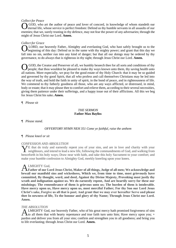## *Collect for Peace*

GOD, who art the author of peace and lover of concord, in knowledge of whom standeth our eternal life, whose service is perfect freedom: Defend us thy humble servants in all assaults of our eternal life, whose service is perfect freedom: Defend us thy humble servants in all assaults of our enemies; that we, surely trusting in thy defence, may not fear the power of any adversaries; through the might of Jesus Christ our Lord. **Amen.**

## *Collect for Grace*

LORD, our heavenly Father, Almighty and everlasting God, who hast safely brought us to the **OLORD**, our heavenly Father, Almighty and everlasting God, who hast safely brought us to the beginning of this day: Defend us in the same with thy mighty power; and grant that this day we fall into no sin, neither run into any kind of danger; but that all our doings may be ordered by thy governance, to do always that is righteous in thy sight; through Jesus Christ our Lord. **Amen.** 

GOD, the Creator and Preserver of all, we humbly beseech thee for all sorts and conditions of thy people; that thou wouldest be pleased to make thy ways known unto them, thy saving health unto all nations. More especially, we pray for the good estate of thy Holy Church: that it may be so guided and governed by thy good Spirit, that all who profess and call themselves Christians may be led into the way of truth, and hold the faith in unity of spirit, in the bond of peace, and in righteousness of life. We commend to thy fatherly goodness all those, who are any ways afflicted, or distressed, in mind, body or estate; that it may please thee to comfort and relieve them, according to their several necessities, giving them patience under their sufferings, and a happy issue out of their afflictions. All this we beg for Jesus Christ his sake**. Amen.**  O

*¶ Please sit*

## *THE SERMON* **Father Max Bayliss**

*¶ Please stand.*

## *OFFERTORY HYMN NEH 351 Come ye faithful, raise the anthem*

## *¶ Please kneel or sit*

## *CONFESSION AND ABSOLUTION*

The that do truly and earnestly repent you of your sins, and are in love and charity with your neighbours, and intend to lead a new life, following the commandments of God, and walking from neighbours, and intend to lead a new life, following the commandments of God, and walking from henceforth in his holy ways; Draw near with faith, and take this holy Sacrament to your comfort; and make your humble confession to Almighty God, meekly kneeling upon your knees.

## LMIGHTY God,

A LMIGHTY God,<br>**Father of our Lord Jesus Christ, Maker of all things, Judge of all men; We acknowledge and bewail our manifold sins and wickedness, Which we, from time to time, most grievously have committed, By thought, word, and deed, Against thy Divine Majesty, Provoking most justly thy wrath and indignation against us. We do earnestly repent, And are heartily sorry for these our misdoings; The remembrance of them is grievous unto us; The burden of them is intolerable. Have mercy upon us, Have mercy upon us, most merciful Father; For thy Son our Lord Jesus Christ's sake, Forgive us all that is past; And grant that we may ever hereafter Serve and please thee In newness of life, To the honour and glory of thy Name; Through Jesus Christ our Lord. Amen.** 

## *THE ABSOLUTION*

LMIGHTY God, our heavenly Father, who of his great mercy hath promised forgiveness of sins ALMIGHTY God, our heavenly Father, who of his great mercy hath promised forgiveness of sins to all them that with hearty repentance and true faith turn unto him; Have mercy upon you; + pardon and deliver you from all your sins; confirm and strengthen you in all goodness; and bring you to life everlasting; through Jesus Christ our Lord. **Amen.**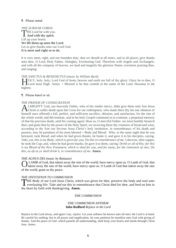*THE SURSUM CORDA* HE Lord be with you. **And with thy spirit.** Lift up your hearts. **We lift them up unto the Lord.** Let us give thanks unto our Lord God. **It is meet and right so to do.**   $\overline{\text{T}}$ 

It is very meet, right, and our bounden duty, that we should at all times, and in all places, give thanks unto thee, O Lord, Holy Father, Almighty, Everlasting God. Therefore with Angels and Archangels, and with all the company of heaven, we laud and magnify thy glorious Name; evermore praising thee, and singing:

## *THE SANCTUS & BENEDICTUS (music by William Byrd)*

OLY, holy, holy, Lord God of hosts, heaven and earth are full of thy glory: Glory be to thee, O Lord most High. Amen. + Blessed is he that cometh in the name of the Lord. Hosanna in the highest.

## *¶ Please kneel or sit.*

## *THE PRAYER OF CONSECRATION*

LMIGHTY God, our heavenly Father, who of thy tender mercy, didst give thine only Son Jesus ALMIGHTY God, our heavenly Father, who of thy tender mercy, didst give thine only Son Jesus<br>
Christ to suffer death upon the Cross for our redemption; who made there (by his one oblation of himself once offered) a full, perfect, and sufficient sacrifice, oblation, and satisfaction, for the sins of the whole world; and did institute, and in his holy Gospel command us to continue, a perpetual memory of that his precious death, until his coming again: Hear us, O merciful Father, we most humbly beseech thee; and grant that by the power of the Holy Spirit, we receiving these thy creatures of bread and wine, according to thy Son our Saviour Jesus Christ's holy institution, in remembrance of his death and passion, may be partakers of his most blessed + Body and Blood: Who, in the same night that he was betrayed, took Bread; and when he had given thanks, he brake it, and gave it to his disciples, saying: Take, eat, this is my Body, which is given for you; Do this in remembrance of me. Likewise, after supper, he took the Cup; and, when he had given thanks, he gave it to them, saying: *Drink ye all of this; for this is my Blood of the New Testament, which is shed for you, and for many, for the remission of sins; Do this, as oft as ye shall drink it, in remembrance of me.* **Amen.**

## *THE AGNUS DEI (music by Bottazzo)*

LAMB of God, that takest away the sins of the world, have mercy upon us. O Lamb of God, that takest away the sins of the world, have mercy upon us. O Lamb of God that takest away the sins of the world, grant us thy peace. O

## *THE INVITATION TO COMMUNION*

THE Body of our Lord Jesus Christ, which was given for thee, preserve thy body and soul unto everlasting life: Take and eat this in remembrance that Christ died for thee, and feed on him in everlasting life: Take and eat this in remembrance that Christ died for thee, and feed on him in thy heart by faith with thanksgiving. **Amen.**

## *THE COMMUNION*

## *THE COMMUNION ANTHEM* **John Redford** *Rejoice in the Lord*

Rejoice in the Lord alway, and again I say, rejoice. Let your softness be known unto all men: the Lord is at hand. Be careful for nothing: but in all prayer and supplication, let your petitions be manifest unto God with giving of thanks. And the peace of God, which passeth all understanding, shall keep your hearts and minds through Christ Jesu. Amen.